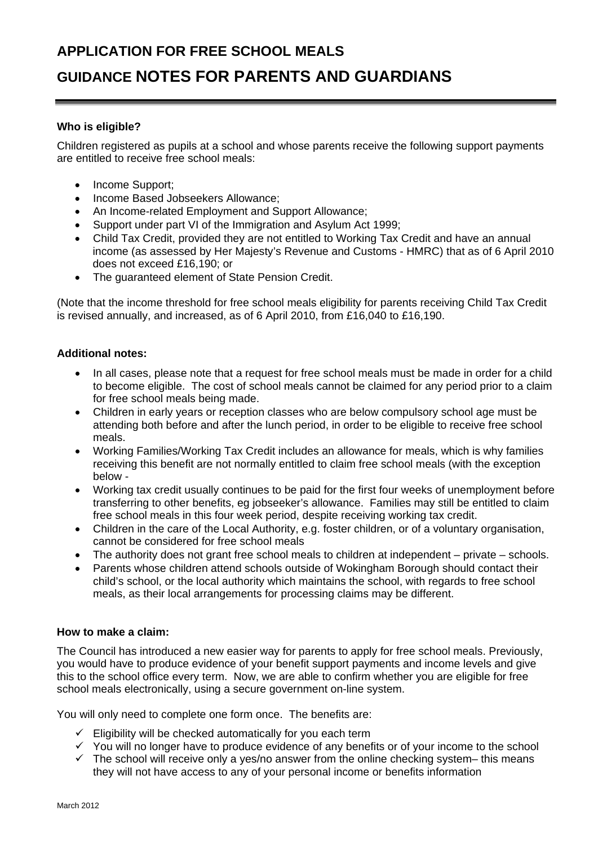# **APPLICATION FOR FREE SCHOOL MEALS**

# **GUIDANCE NOTES FOR PARENTS AND GUARDIANS**

## **Who is eligible?**

Children registered as pupils at a school and whose parents receive the following support payments are entitled to receive free school meals:

- Income Support;
- Income Based Jobseekers Allowance;
- An Income-related Employment and Support Allowance;
- Support under part VI of the Immigration and Asylum Act 1999;
- Child Tax Credit, provided they are not entitled to Working Tax Credit and have an annual income (as assessed by Her Majesty's Revenue and Customs - HMRC) that as of 6 April 2010 does not exceed £16,190; or
- The guaranteed element of State Pension Credit.

(Note that the income threshold for free school meals eligibility for parents receiving Child Tax Credit is revised annually, and increased, as of 6 April 2010, from £16,040 to £16,190.

#### **Additional notes:**

- In all cases, please note that a request for free school meals must be made in order for a child to become eligible. The cost of school meals cannot be claimed for any period prior to a claim for free school meals being made.
- Children in early years or reception classes who are below compulsory school age must be attending both before and after the lunch period, in order to be eligible to receive free school meals.
- Working Families/Working Tax Credit includes an allowance for meals, which is why families receiving this benefit are not normally entitled to claim free school meals (with the exception below -
- Working tax credit usually continues to be paid for the first four weeks of unemployment before transferring to other benefits, eg jobseeker's allowance. Families may still be entitled to claim free school meals in this four week period, despite receiving working tax credit.
- Children in the care of the Local Authority, e.g. foster children, or of a voluntary organisation, cannot be considered for free school meals
- The authority does not grant free school meals to children at independent private schools.
- Parents whose children attend schools outside of Wokingham Borough should contact their child's school, or the local authority which maintains the school, with regards to free school meals, as their local arrangements for processing claims may be different.

#### **How to make a claim:**

The Council has introduced a new easier way for parents to apply for free school meals. Previously, you would have to produce evidence of your benefit support payments and income levels and give this to the school office every term. Now, we are able to confirm whether you are eligible for free school meals electronically, using a secure government on-line system.

You will only need to complete one form once. The benefits are:

- $\checkmark$  Eligibility will be checked automatically for you each term
- $\checkmark$  You will no longer have to produce evidence of any benefits or of your income to the school
- $\checkmark$  The school will receive only a yes/no answer from the online checking system– this means they will not have access to any of your personal income or benefits information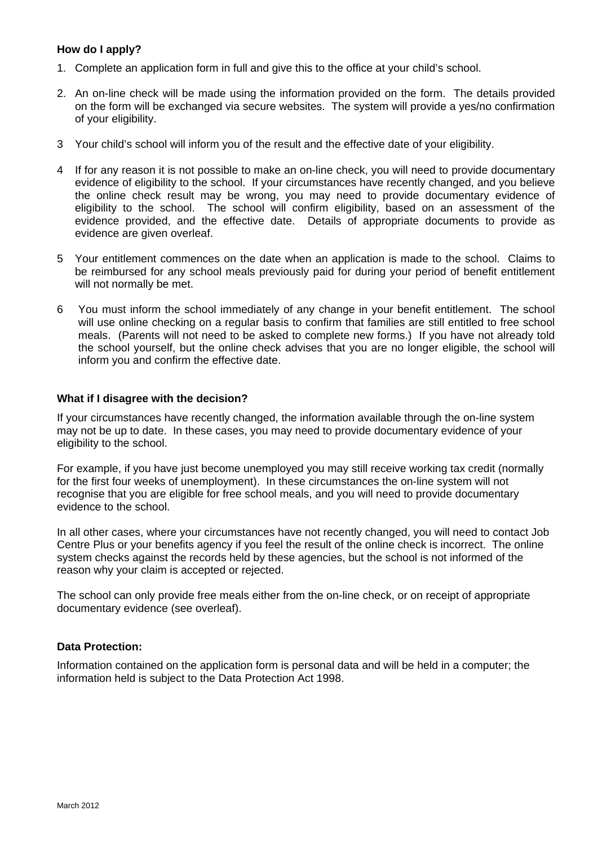### **How do I apply?**

- 1. Complete an application form in full and give this to the office at your child's school.
- 2. An on-line check will be made using the information provided on the form. The details provided on the form will be exchanged via secure websites. The system will provide a yes/no confirmation of your eligibility.
- 3 Your child's school will inform you of the result and the effective date of your eligibility.
- 4 If for any reason it is not possible to make an on-line check, you will need to provide documentary evidence of eligibility to the school. If your circumstances have recently changed, and you believe the online check result may be wrong, you may need to provide documentary evidence of eligibility to the school. The school will confirm eligibility, based on an assessment of the evidence provided, and the effective date. Details of appropriate documents to provide as evidence are given overleaf.
- 5 Your entitlement commences on the date when an application is made to the school. Claims to be reimbursed for any school meals previously paid for during your period of benefit entitlement will not normally be met.
- 6 You must inform the school immediately of any change in your benefit entitlement. The school will use online checking on a regular basis to confirm that families are still entitled to free school meals. (Parents will not need to be asked to complete new forms.) If you have not already told the school yourself, but the online check advises that you are no longer eligible, the school will inform you and confirm the effective date.

#### **What if I disagree with the decision?**

If your circumstances have recently changed, the information available through the on-line system may not be up to date. In these cases, you may need to provide documentary evidence of your eligibility to the school.

For example, if you have just become unemployed you may still receive working tax credit (normally for the first four weeks of unemployment). In these circumstances the on-line system will not recognise that you are eligible for free school meals, and you will need to provide documentary evidence to the school.

In all other cases, where your circumstances have not recently changed, you will need to contact Job Centre Plus or your benefits agency if you feel the result of the online check is incorrect. The online system checks against the records held by these agencies, but the school is not informed of the reason why your claim is accepted or rejected.

The school can only provide free meals either from the on-line check, or on receipt of appropriate documentary evidence (see overleaf).

#### **Data Protection:**

Information contained on the application form is personal data and will be held in a computer; the information held is subject to the Data Protection Act 1998.